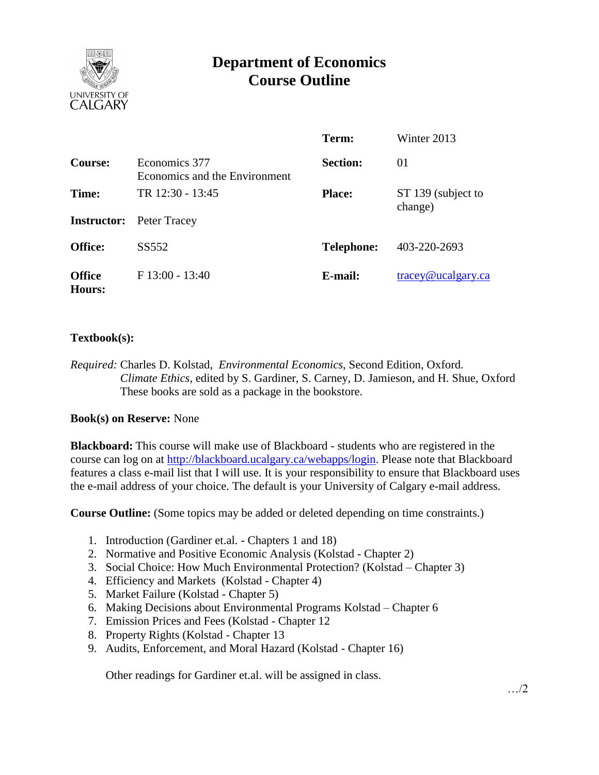

# **Department of Economics Course Outline**

|                         |                                                | Term:             | Winter 2013                      |
|-------------------------|------------------------------------------------|-------------------|----------------------------------|
| <b>Course:</b>          | Economics 377<br>Economics and the Environment | <b>Section:</b>   | 01                               |
| Time:                   | TR 12:30 - 13:45                               | <b>Place:</b>     | ST 139 (subject to<br>change)    |
|                         | <b>Instructor:</b> Peter Tracey                |                   |                                  |
| <b>Office:</b>          | SS552                                          | <b>Telephone:</b> | 403-220-2693                     |
| <b>Office</b><br>Hours: | $F13:00 - 13:40$                               | E-mail:           | $trace\$ <sub>@ucalgary.ca</sub> |

### **Textbook(s):**

*Required:* Charles D. Kolstad, *Environmental Economics*, Second Edition, Oxford. *Climate Ethics*, edited by S. Gardiner, S. Carney, D. Jamieson, and H. Shue, Oxford These books are sold as a package in the bookstore.

#### **Book(s) on Reserve:** None

**Blackboard:** This course will make use of Blackboard - students who are registered in the course can log on at [http://blackboard.ucalgary.ca/webapps/login.](http://blackboard.ucalgary.ca/webapps/login) Please note that Blackboard features a class e-mail list that I will use. It is your responsibility to ensure that Blackboard uses the e-mail address of your choice. The default is your University of Calgary e-mail address.

**Course Outline:** (Some topics may be added or deleted depending on time constraints.)

- 1. Introduction (Gardiner et.al. Chapters 1 and 18)
- 2. Normative and Positive Economic Analysis (Kolstad Chapter 2)
- 3. Social Choice: How Much Environmental Protection? (Kolstad Chapter 3)
- 4. Efficiency and Markets (Kolstad Chapter 4)
- 5. Market Failure (Kolstad Chapter 5)
- 6. Making Decisions about Environmental Programs Kolstad Chapter 6
- 7. Emission Prices and Fees (Kolstad Chapter 12
- 8. Property Rights (Kolstad Chapter 13
- 9. Audits, Enforcement, and Moral Hazard (Kolstad Chapter 16)

Other readings for Gardiner et.al. will be assigned in class.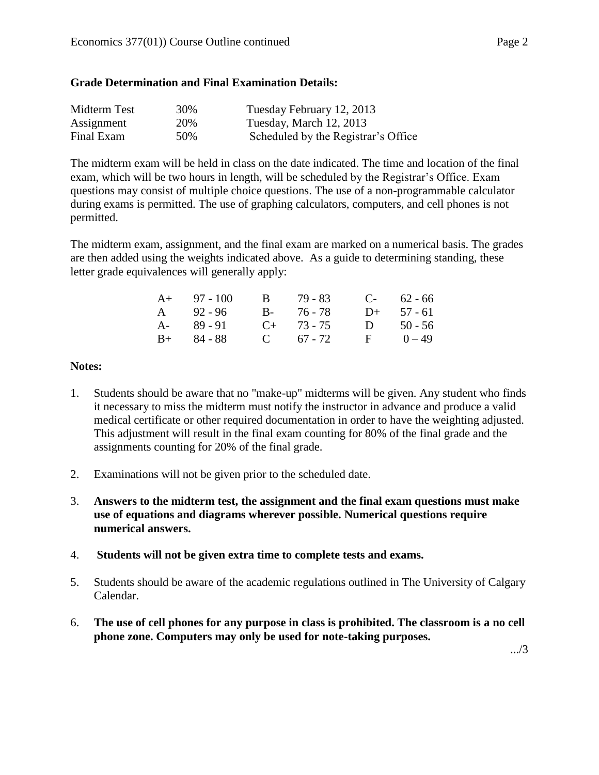#### **Grade Determination and Final Examination Details:**

| Midterm Test | 30% | Tuesday February 12, 2013           |
|--------------|-----|-------------------------------------|
| Assignment   | 20% | Tuesday, March 12, 2013             |
| Final Exam   | 50% | Scheduled by the Registrar's Office |

The midterm exam will be held in class on the date indicated. The time and location of the final exam, which will be two hours in length, will be scheduled by the Registrar's Office. Exam questions may consist of multiple choice questions. The use of a non-programmable calculator during exams is permitted. The use of graphing calculators, computers, and cell phones is not permitted.

The midterm exam, assignment, and the final exam are marked on a numerical basis. The grades are then added using the weights indicated above. As a guide to determining standing, these letter grade equivalences will generally apply:

| $A+ 97 - 100$ | B 79-83         | $C-$ 62 - 66 |
|---------------|-----------------|--------------|
| A $92 - 96$   | B- 76-78        | $D+ 57 - 61$ |
| $A - 89 - 91$ | $C_{+}$ 73 - 75 | D $50 - 56$  |
| $B+ 84 - 88$  | C $67 - 72$     | $F = 0 - 49$ |

#### **Notes:**

- 1. Students should be aware that no "make-up" midterms will be given. Any student who finds it necessary to miss the midterm must notify the instructor in advance and produce a valid medical certificate or other required documentation in order to have the weighting adjusted. This adjustment will result in the final exam counting for 80% of the final grade and the assignments counting for 20% of the final grade.
- 2. Examinations will not be given prior to the scheduled date.
- 3. **Answers to the midterm test, the assignment and the final exam questions must make use of equations and diagrams wherever possible. Numerical questions require numerical answers.**
- 4. **Students will not be given extra time to complete tests and exams.**
- 5. Students should be aware of the academic regulations outlined in The University of Calgary Calendar.
- 6. **The use of cell phones for any purpose in class is prohibited. The classroom is a no cell phone zone. Computers may only be used for note-taking purposes.**

.../3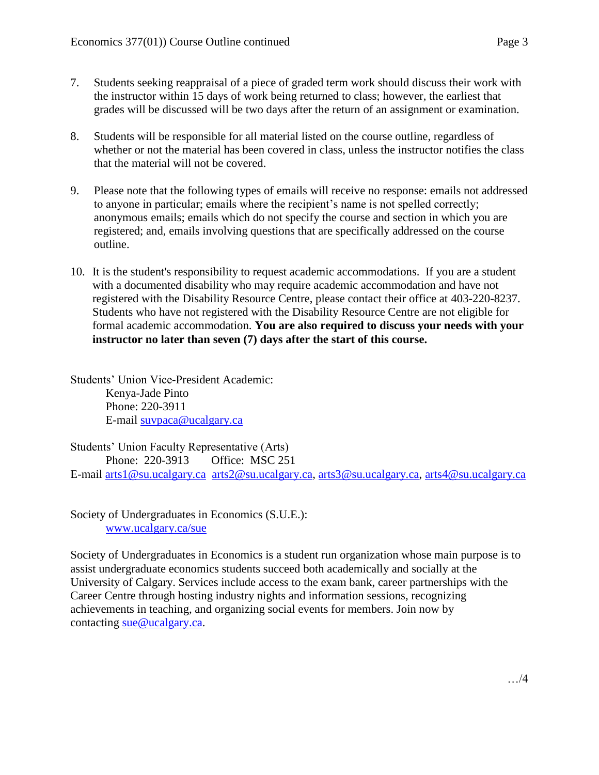- 7. Students seeking reappraisal of a piece of graded term work should discuss their work with the instructor within 15 days of work being returned to class; however, the earliest that grades will be discussed will be two days after the return of an assignment or examination.
- 8. Students will be responsible for all material listed on the course outline, regardless of whether or not the material has been covered in class, unless the instructor notifies the class that the material will not be covered.
- 9. Please note that the following types of emails will receive no response: emails not addressed to anyone in particular; emails where the recipient's name is not spelled correctly; anonymous emails; emails which do not specify the course and section in which you are registered; and, emails involving questions that are specifically addressed on the course outline.
- 10. It is the student's responsibility to request academic accommodations. If you are a student with a documented disability who may require academic accommodation and have not registered with the Disability Resource Centre, please contact their office at 403-220-8237. Students who have not registered with the Disability Resource Centre are not eligible for formal academic accommodation. **You are also required to discuss your needs with your instructor no later than seven (7) days after the start of this course.**

Students' Union Vice-President Academic: Kenya-Jade Pinto Phone: 220-3911 E-mail [suvpaca@ucalgary.ca](mailto:subpaca@ucalgary.ca)

Students' Union Faculty Representative (Arts) Phone: 220-3913 Office: MSC 251 E-mail [arts1@su.ucalgary.ca](mailto:arts1@su.ucalgary.ca) [arts2@su.ucalgary.ca,](mailto:arts2@su.ucalgary.ca) [arts3@su.ucalgary.ca,](mailto:arts3@su.ucalgary.ca) [arts4@su.ucalgary.ca](mailto:arts4@su.ucalgary.ca)

Society of Undergraduates in Economics (S.U.E.): [www.ucalgary.ca/sue](http://www.fp.ucalgary.ca/econ)

Society of Undergraduates in Economics is a student run organization whose main purpose is to assist undergraduate economics students succeed both academically and socially at the University of Calgary. Services include access to the exam bank, career partnerships with the Career Centre through hosting industry nights and information sessions, recognizing achievements in teaching, and organizing social events for members. Join now by contacting [sue@ucalgary.ca.](mailto:sue@ucalgary.ca)